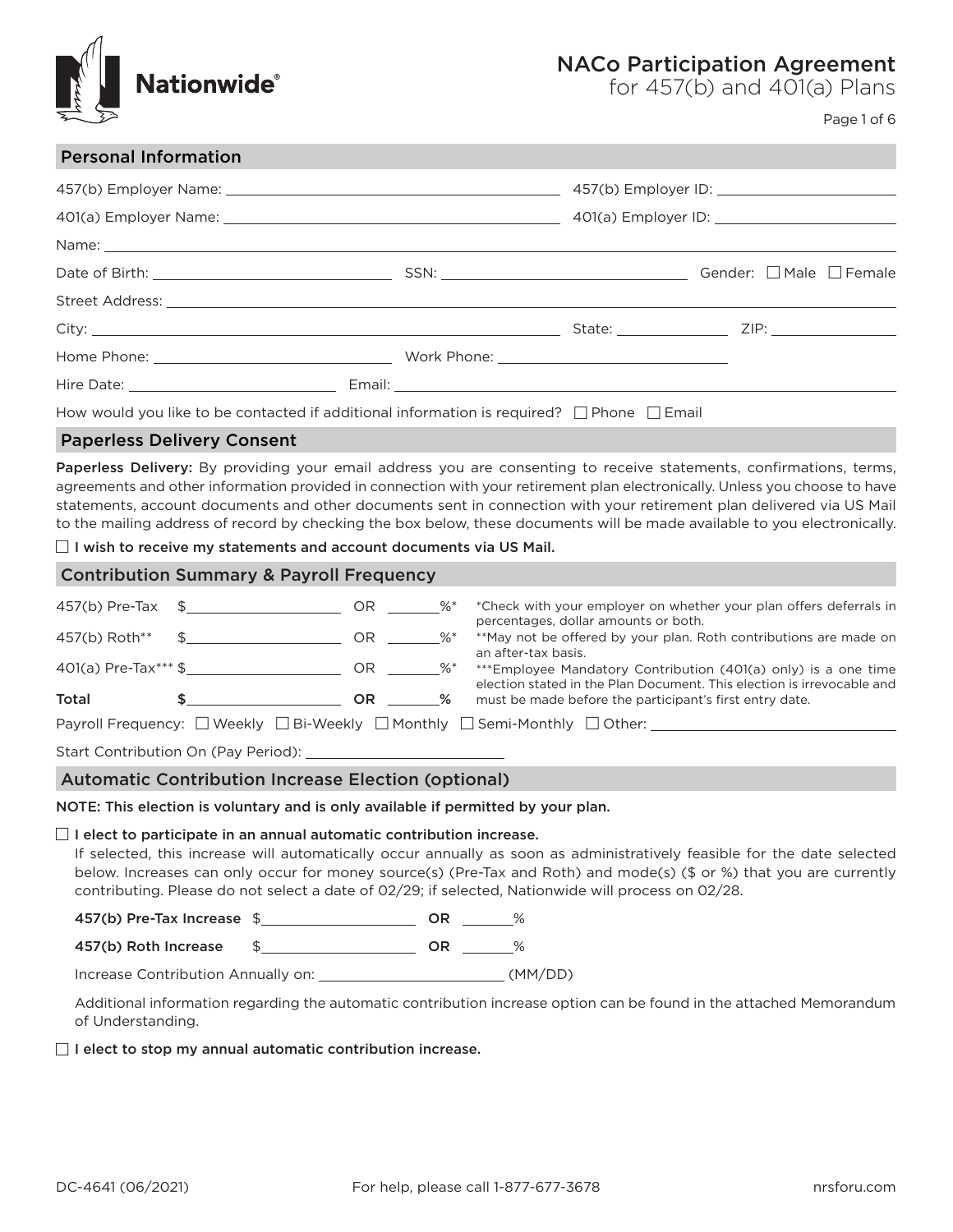

# NACo Participation Agreement

for 457(b) and 401(a) Plans

Page 1 of 6

| <b>Personal Information</b> |                                                                                                     |  |
|-----------------------------|-----------------------------------------------------------------------------------------------------|--|
|                             |                                                                                                     |  |
|                             |                                                                                                     |  |
|                             |                                                                                                     |  |
|                             |                                                                                                     |  |
|                             |                                                                                                     |  |
|                             |                                                                                                     |  |
|                             |                                                                                                     |  |
|                             |                                                                                                     |  |
|                             | How would you like to be contacted if additional information is required? $\Box$ Phone $\Box$ Email |  |
|                             |                                                                                                     |  |

# Paperless Delivery Consent

Paperless Delivery: By providing your email address you are consenting to receive statements, confirmations, terms, agreements and other information provided in connection with your retirement plan electronically. Unless you choose to have statements, account documents and other documents sent in connection with your retirement plan delivered via US Mail to the mailing address of record by checking the box below, these documents will be made available to you electronically.

 $\Box$  I wish to receive my statements and account documents via US Mail.

| <b>Contribution Summary &amp; Payroll Frequency</b>                       |                                     |       |        |                                                                                                                                          |
|---------------------------------------------------------------------------|-------------------------------------|-------|--------|------------------------------------------------------------------------------------------------------------------------------------------|
|                                                                           | $457(b)$ Pre-Tax $\quad$ \$         | OR    | $\%^*$ | *Check with your employer on whether your plan offers deferrals in<br>percentages, dollar amounts or both.                               |
| 457(b) Roth**                                                             | $\mathbb{S}$                        | OR %* |        | **May not be offered by your plan. Roth contributions are made on<br>an after-tax basis.                                                 |
|                                                                           | $401(a)$ Pre-Tax*** \$              | OR %* |        | ***Employee Mandatory Contribution (401(a) only) is a one time<br>election stated in the Plan Document. This election is irrevocable and |
| Total                                                                     |                                     | OR.   | %      | must be made before the participant's first entry date.                                                                                  |
| Payroll Frequency: □ Weekly □ Bi-Weekly □ Monthly □ Semi-Monthly □ Other: |                                     |       |        |                                                                                                                                          |
|                                                                           | Start Contribution On (Pay Period): |       |        |                                                                                                                                          |

# Automatic Contribution Increase Election (optional)

NOTE: This election is voluntary and is only available if permitted by your plan.

## $\Box$  I elect to participate in an annual automatic contribution increase.

If selected, this increase will automatically occur annually as soon as administratively feasible for the date selected below. Increases can only occur for money source(s) (Pre-Tax and Roth) and mode(s) (\$ or %) that you are currently contributing. Please do not select a date of 02/29; if selected, Nationwide will process on 02/28.

457(b) Pre-Tax Increase \$

457(b) Roth Increase \$ OR %

Increase Contribution Annually on: (MM/DD)

Additional information regarding the automatic contribution increase option can be found in the attached Memorandum of Understanding.

## $\Box$  I elect to stop my annual automatic contribution increase.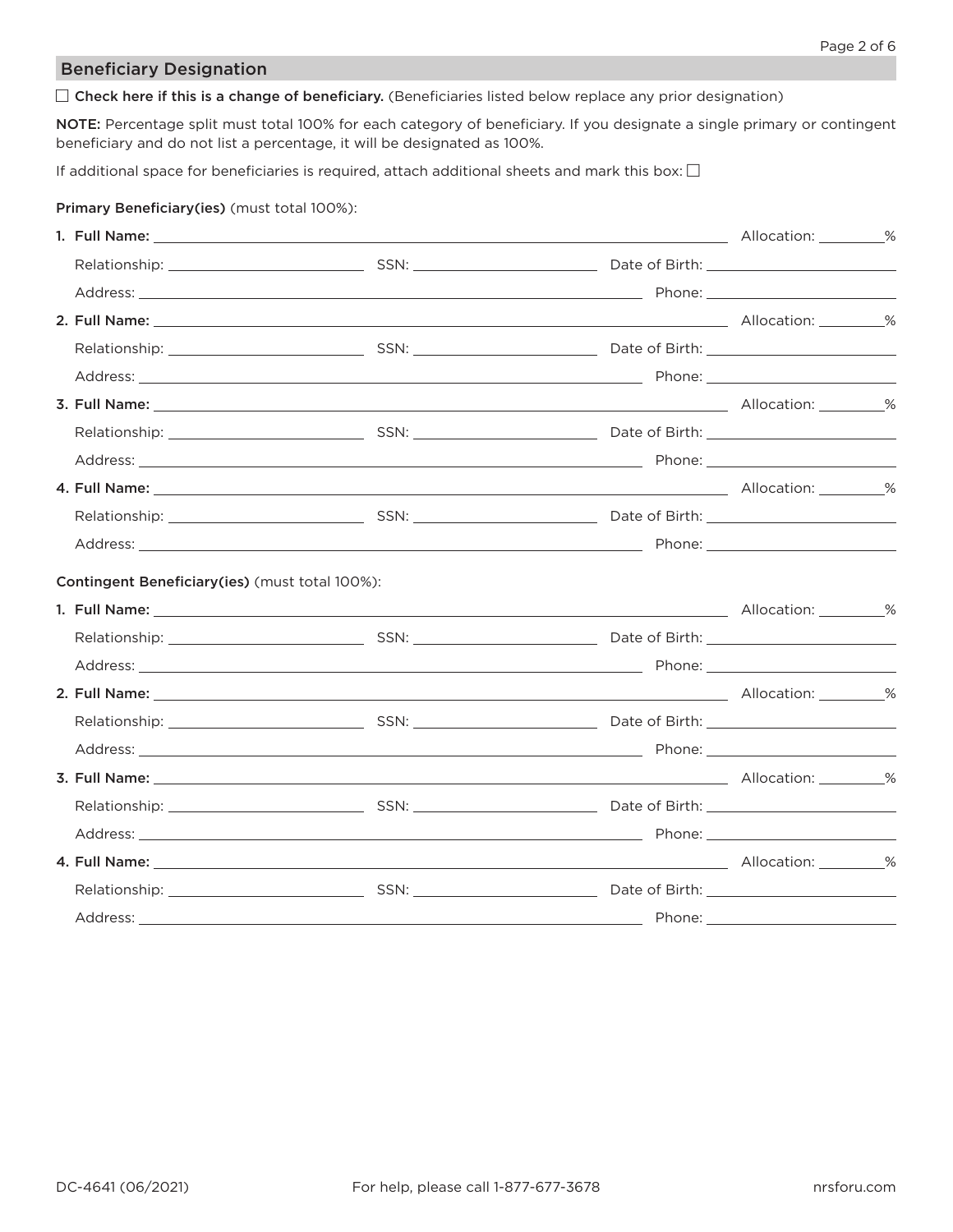# Beneficiary Designation

 $\Box$  Check here if this is a change of beneficiary. (Beneficiaries listed below replace any prior designation)

NOTE: Percentage split must total 100% for each category of beneficiary. If you designate a single primary or contingent beneficiary and do not list a percentage, it will be designated as 100%.

If additional space for beneficiaries is required, attach additional sheets and mark this box:  $\Box$ 

# Primary Beneficiary(ies) (must total 100%):

| Contingent Beneficiary(ies) (must total 100%): |  |  |
|------------------------------------------------|--|--|
|                                                |  |  |
|                                                |  |  |
|                                                |  |  |
|                                                |  |  |
|                                                |  |  |
|                                                |  |  |
|                                                |  |  |
|                                                |  |  |
|                                                |  |  |
|                                                |  |  |
|                                                |  |  |
|                                                |  |  |
|                                                |  |  |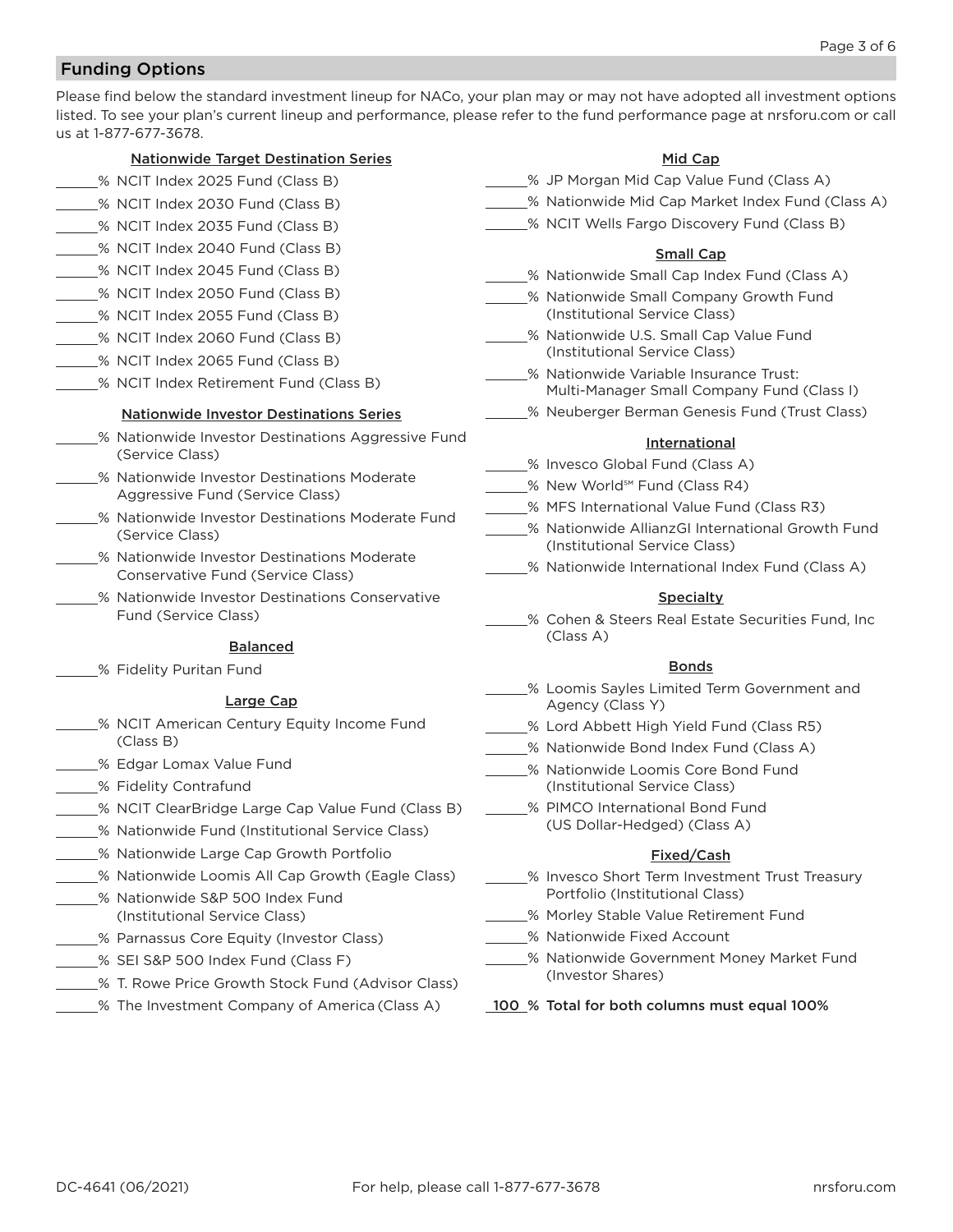# Funding Options

Please find below the standard investment lineup for NACo, your plan may or may not have adopted all investment options listed. To see your plan's current lineup and performance, please refer to the fund performance page at nrsforu.com or call us at 1-877-677-3678.

# Nationwide Target Destination Series

- % NCIT Index 2025 Fund (Class B)
- % NCIT Index 2030 Fund (Class B)
- % NCIT Index 2035 Fund (Class B)
- % NCIT Index 2040 Fund (Class B)
- % NCIT Index 2045 Fund (Class B)
- % NCIT Index 2050 Fund (Class B)
- % NCIT Index 2055 Fund (Class B)
- % NCIT Index 2060 Fund (Class B)
- % NCIT Index 2065 Fund (Class B)
- % NCIT Index Retirement Fund (Class B)

# Nationwide Investor Destinations Series

- \_% Nationwide Investor Destinations Aggressive Fund (Service Class)
- % Nationwide Investor Destinations Moderate Aggressive Fund (Service Class)
- % Nationwide Investor Destinations Moderate Fund (Service Class)
- % Nationwide Investor Destinations Moderate Conservative Fund (Service Class)
- **% Nationwide Investor Destinations Conservative** Fund (Service Class)

## Balanced

% Fidelity Puritan Fund

# Large Cap

- % NCIT American Century Equity Income Fund (Class B)
- % Edgar Lomax Value Fund
- 5% Fidelity Contrafund
- % NCIT ClearBridge Large Cap Value Fund (Class B)
- % Nationwide Fund (Institutional Service Class)
- % Nationwide Large Cap Growth Portfolio
- % Nationwide Loomis All Cap Growth (Eagle Class)
- % Nationwide S&P 500 Index Fund (Institutional Service Class)
- 5% Parnassus Core Equity (Investor Class)
- % SEI S&P 500 Index Fund (Class F)
- % T. Rowe Price Growth Stock Fund (Advisor Class)
- % The Investment Company of America (Class A)
- Mid Cap % JP Morgan Mid Cap Value Fund (Class A) % Nationwide Mid Cap Market Index Fund (Class A) \_% NCIT Wells Fargo Discovery Fund (Class B) Small Cap Solution Wide Small Cap Index Fund (Class A) **% Nationwide Small Company Growth Fund** (Institutional Service Class) % Nationwide U.S. Small Cap Value Fund (Institutional Service Class) % Nationwide Variable Insurance Trust: Multi-Manager Small Company Fund (Class I) % Neuberger Berman Genesis Fund (Trust Class) **International** % Invesco Global Fund (Class A) % New World℠ Fund (Class R4) % MFS International Value Fund (Class R3) % Nationwide AllianzGI International Growth Fund (Institutional Service Class) % Nationwide International Index Fund (Class A) **Specialty** % Cohen & Steers Real Estate Securities Fund, Inc (Class A) **Bonds** % Loomis Sayles Limited Term Government and Agency (Class Y) % Lord Abbett High Yield Fund (Class R5) % Nationwide Bond Index Fund (Class A) \_% Nationwide Loomis Core Bond Fund (Institutional Service Class)
- % PIMCO International Bond Fund (US Dollar-Hedged) (Class A)

# Fixed/Cash

- **2008** Invesco Short Term Investment Trust Treasury Portfolio (Institutional Class)
- 5% Morley Stable Value Retirement Fund
- % Nationwide Fixed Account
- % Nationwide Government Money Market Fund (Investor Shares)

100 % Total for both columns must equal 100%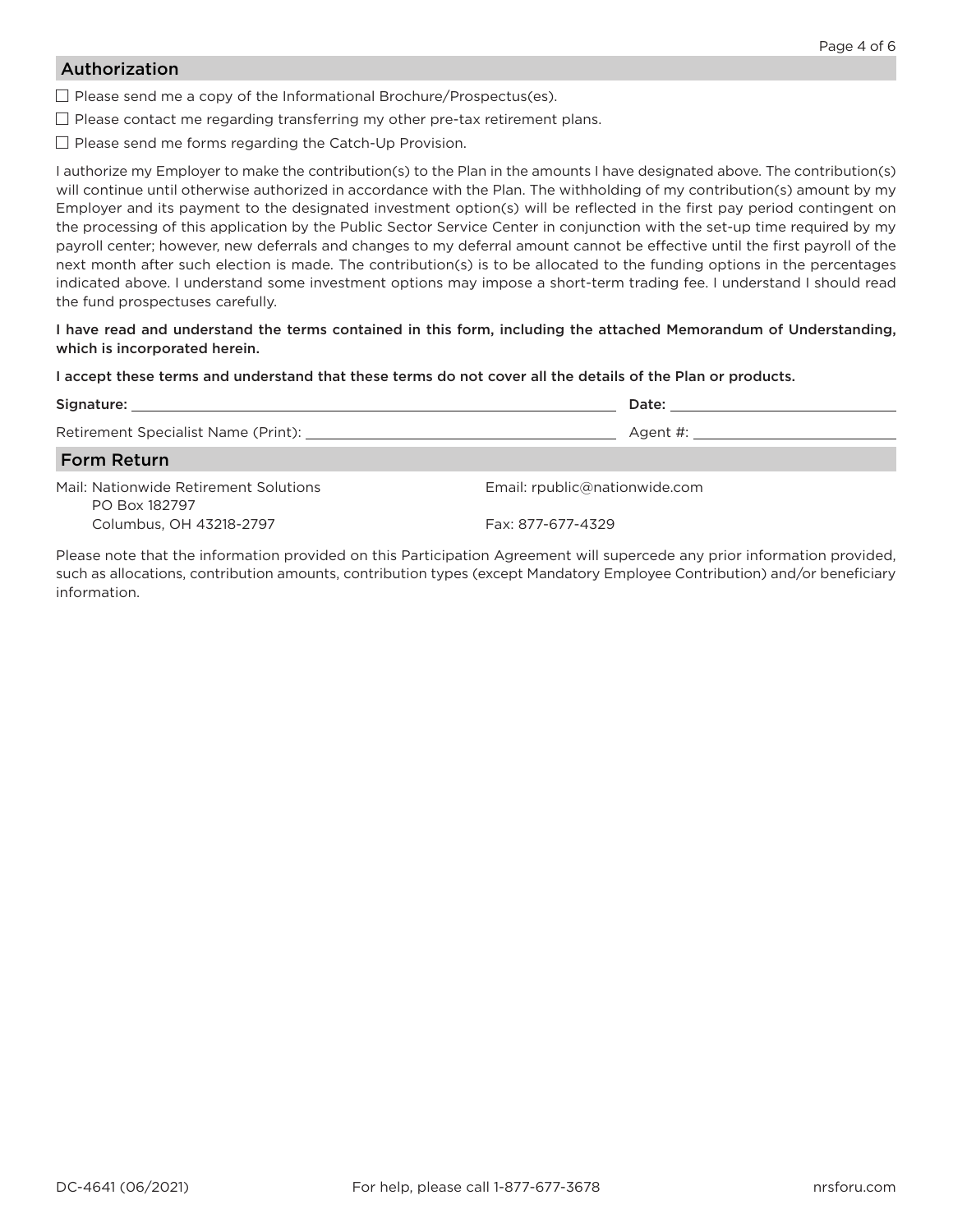# Authorization

 $\Box$  Please send me a copy of the Informational Brochure/Prospectus(es).

 $\Box$  Please contact me regarding transferring my other pre-tax retirement plans.

 $\Box$  Please send me forms regarding the Catch-Up Provision.

I authorize my Employer to make the contribution(s) to the Plan in the amounts I have designated above. The contribution(s) will continue until otherwise authorized in accordance with the Plan. The withholding of my contribution(s) amount by my Employer and its payment to the designated investment option(s) will be reflected in the first pay period contingent on the processing of this application by the Public Sector Service Center in conjunction with the set-up time required by my payroll center; however, new deferrals and changes to my deferral amount cannot be effective until the first payroll of the next month after such election is made. The contribution(s) is to be allocated to the funding options in the percentages indicated above. I understand some investment options may impose a short-term trading fee. I understand I should read the fund prospectuses carefully.

I have read and understand the terms contained in this form, including the attached Memorandum of Understanding, which is incorporated herein.

I accept these terms and understand that these terms do not cover all the details of the Plan or products.

|                                                        | Date: the contract of the contract of the contract of the contract of the contract of the contract of the contract of the contract of the contract of the contract of the contract of the contract of the contract of the cont |
|--------------------------------------------------------|--------------------------------------------------------------------------------------------------------------------------------------------------------------------------------------------------------------------------------|
|                                                        | Agent #: 2008 2008 2014 2022 2023 2024 2022 2023 2024 2022 2023 2024 2022 2023 2024 2022 2023 2024 20                                                                                                                          |
| <b>Form Return</b>                                     |                                                                                                                                                                                                                                |
| Mail: Nationwide Retirement Solutions<br>PO Box 182797 | Email: rpublic@nationwide.com                                                                                                                                                                                                  |
| Columbus, OH 43218-2797                                | Fax: 877-677-4329                                                                                                                                                                                                              |

Please note that the information provided on this Participation Agreement will supercede any prior information provided, such as allocations, contribution amounts, contribution types (except Mandatory Employee Contribution) and/or beneficiary information.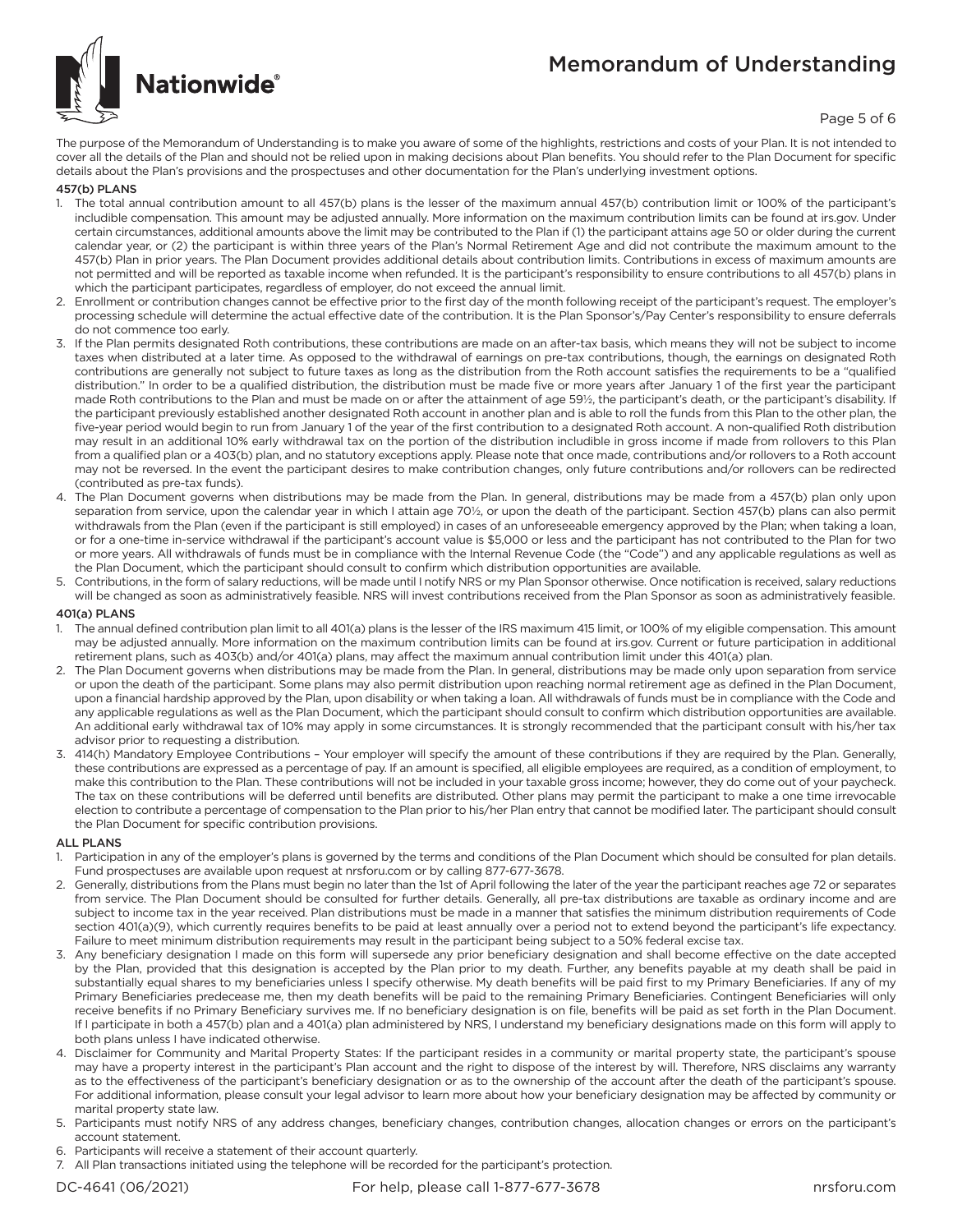# Memorandum of Understanding



Page 5 of 6

The purpose of the Memorandum of Understanding is to make you aware of some of the highlights, restrictions and costs of your Plan. It is not intended to cover all the details of the Plan and should not be relied upon in making decisions about Plan benefits. You should refer to the Plan Document for specific details about the Plan's provisions and the prospectuses and other documentation for the Plan's underlying investment options.

### 457(b) PLANS

- 1. The total annual contribution amount to all 457(b) plans is the lesser of the maximum annual 457(b) contribution limit or 100% of the participant's includible compensation. This amount may be adjusted annually. More information on the maximum contribution limits can be found at irs.gov. Under certain circumstances, additional amounts above the limit may be contributed to the Plan if (1) the participant attains age 50 or older during the current calendar year, or (2) the participant is within three years of the Plan's Normal Retirement Age and did not contribute the maximum amount to the 457(b) Plan in prior years. The Plan Document provides additional details about contribution limits. Contributions in excess of maximum amounts are not permitted and will be reported as taxable income when refunded. It is the participant's responsibility to ensure contributions to all 457(b) plans in which the participant participates, regardless of employer, do not exceed the annual limit.
- 2. Enrollment or contribution changes cannot be effective prior to the first day of the month following receipt of the participant's request. The employer's processing schedule will determine the actual effective date of the contribution. It is the Plan Sponsor's/Pay Center's responsibility to ensure deferrals do not commence too early.
- 3. If the Plan permits designated Roth contributions, these contributions are made on an after-tax basis, which means they will not be subject to income taxes when distributed at a later time. As opposed to the withdrawal of earnings on pre-tax contributions, though, the earnings on designated Roth contributions are generally not subject to future taxes as long as the distribution from the Roth account satisfies the requirements to be a "qualified distribution." In order to be a qualified distribution, the distribution must be made five or more years after January 1 of the first year the participant made Roth contributions to the Plan and must be made on or after the attainment of age 591/2, the participant's death, or the participant's disability. If the participant previously established another designated Roth account in another plan and is able to roll the funds from this Plan to the other plan, the five-year period would begin to run from January 1 of the year of the first contribution to a designated Roth account. A non-qualified Roth distribution may result in an additional 10% early withdrawal tax on the portion of the distribution includible in gross income if made from rollovers to this Plan from a qualified plan or a 403(b) plan, and no statutory exceptions apply. Please note that once made, contributions and/or rollovers to a Roth account may not be reversed. In the event the participant desires to make contribution changes, only future contributions and/or rollovers can be redirected (contributed as pre-tax funds).
- 4. The Plan Document governs when distributions may be made from the Plan. In general, distributions may be made from a 457(b) plan only upon separation from service, upon the calendar year in which I attain age 70½, or upon the death of the participant. Section 457(b) plans can also permit withdrawals from the Plan (even if the participant is still employed) in cases of an unforeseeable emergency approved by the Plan; when taking a loan, or for a one-time in-service withdrawal if the participant's account value is \$5,000 or less and the participant has not contributed to the Plan for two or more years. All withdrawals of funds must be in compliance with the Internal Revenue Code (the "Code") and any applicable regulations as well as the Plan Document, which the participant should consult to confirm which distribution opportunities are available.
- 5. Contributions, in the form of salary reductions, will be made until I notify NRS or my Plan Sponsor otherwise. Once notification is received, salary reductions will be changed as soon as administratively feasible. NRS will invest contributions received from the Plan Sponsor as soon as administratively feasible.

### 401(a) PLANS

- 1. The annual defined contribution plan limit to all 401(a) plans is the lesser of the IRS maximum 415 limit, or 100% of my eligible compensation. This amount may be adjusted annually. More information on the maximum contribution limits can be found at irs.gov. Current or future participation in additional retirement plans, such as 403(b) and/or 401(a) plans, may affect the maximum annual contribution limit under this 401(a) plan.
- 2. The Plan Document governs when distributions may be made from the Plan. In general, distributions may be made only upon separation from service or upon the death of the participant. Some plans may also permit distribution upon reaching normal retirement age as defined in the Plan Document, upon a financial hardship approved by the Plan, upon disability or when taking a loan. All withdrawals of funds must be in compliance with the Code and any applicable regulations as well as the Plan Document, which the participant should consult to confirm which distribution opportunities are available. An additional early withdrawal tax of 10% may apply in some circumstances. It is strongly recommended that the participant consult with his/her tax advisor prior to requesting a distribution.
- 3. 414(h) Mandatory Employee Contributions Your employer will specify the amount of these contributions if they are required by the Plan. Generally, these contributions are expressed as a percentage of pay. If an amount is specified, all eligible employees are required, as a condition of employment, to make this contribution to the Plan. These contributions will not be included in your taxable gross income; however, they do come out of your paycheck. The tax on these contributions will be deferred until benefits are distributed. Other plans may permit the participant to make a one time irrevocable election to contribute a percentage of compensation to the Plan prior to his/her Plan entry that cannot be modified later. The participant should consult the Plan Document for specific contribution provisions.

### ALL PLANS

- Participation in any of the employer's plans is governed by the terms and conditions of the Plan Document which should be consulted for plan details. Fund prospectuses are available upon request at nrsforu.com or by calling 877-677-3678.
- 2. Generally, distributions from the Plans must begin no later than the 1st of April following the later of the year the participant reaches age 72 or separates from service. The Plan Document should be consulted for further details. Generally, all pre-tax distributions are taxable as ordinary income and are subject to income tax in the year received. Plan distributions must be made in a manner that satisfies the minimum distribution requirements of Code section 401(a)(9), which currently requires benefits to be paid at least annually over a period not to extend beyond the participant's life expectancy. Failure to meet minimum distribution requirements may result in the participant being subject to a 50% federal excise tax.
- 3. Any beneficiary designation I made on this form will supersede any prior beneficiary designation and shall become effective on the date accepted by the Plan, provided that this designation is accepted by the Plan prior to my death. Further, any benefits payable at my death shall be paid in substantially equal shares to my beneficiaries unless I specify otherwise. My death benefits will be paid first to my Primary Beneficiaries. If any of my Primary Beneficiaries predecease me, then my death benefits will be paid to the remaining Primary Beneficiaries. Contingent Beneficiaries will only receive benefits if no Primary Beneficiary survives me. If no beneficiary designation is on file, benefits will be paid as set forth in the Plan Document. If I participate in both a 457(b) plan and a 401(a) plan administered by NRS, I understand my beneficiary designations made on this form will apply to both plans unless I have indicated otherwise.
- 4. Disclaimer for Community and Marital Property States: If the participant resides in a community or marital property state, the participant's spouse may have a property interest in the participant's Plan account and the right to dispose of the interest by will. Therefore, NRS disclaims any warranty as to the effectiveness of the participant's beneficiary designation or as to the ownership of the account after the death of the participant's spouse. For additional information, please consult your legal advisor to learn more about how your beneficiary designation may be affected by community or marital property state law.
- 5. Participants must notify NRS of any address changes, beneficiary changes, contribution changes, allocation changes or errors on the participant's account statement.
- 6. Participants will receive a statement of their account quarterly.
- 7. All Plan transactions initiated using the telephone will be recorded for the participant's protection.